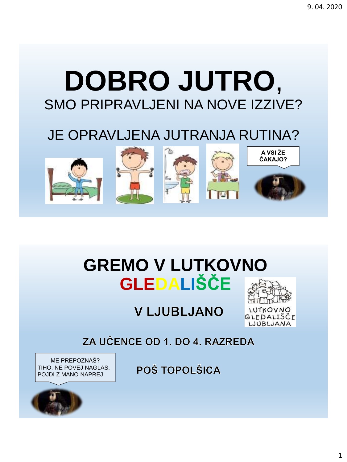# **DOBRO JUTRO,** SMO PRIPRAVLJENI NA NOVE IZZIVE?

## JE OPRAVLJENA JUTRANJA RUTINA?



# **GREMO V LUTKOVNO GLEDALIŠČE**

### **VLJUBLJANO**



LUTKOV GLEDALIŠČE LJUBLJANA

ZA UČENCE OD 1. DO 4. RAZREDA

ME PREPOZNAŠ? TIHO. NE POVEJ NAGLAS. POJDI Z MANO NAPREJ.



POŠ TOPOLŠICA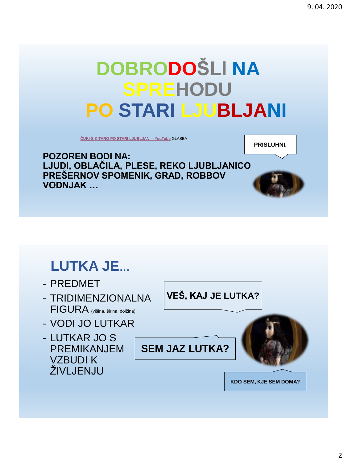# **DOBRODOŠLI NA SPREHODU PO STARI LJUBLJANI**

**[ČUKI-S KITARO PO STARI LJUBLJANI –](https://www.youtube.com/watch?v=RB_QXN2dhjA) YouTube** GLASBA

**PRISLUHNI.**

**POZOREN BODI NA: LJUDI, OBLAČILA, PLESE, REKO LJUBLJANICO PREŠERNOV SPOMENIK, GRAD, ROBBOV VODNJAK …**

### **LUTKA JE…**

- PREDMET
- TRIDIMENZIONALNA FIGURA (višina, širina, dolžina)
- VODI JO LUTKAR
- LUTKAR JO S PREMIKANJEM VZBUDI K ŽIVLJENJU

**VEŠ, KAJ JE LUTKA?**

**SEM JAZ LUTKA?**



**KDO SEM, KJE SEM DOMA?**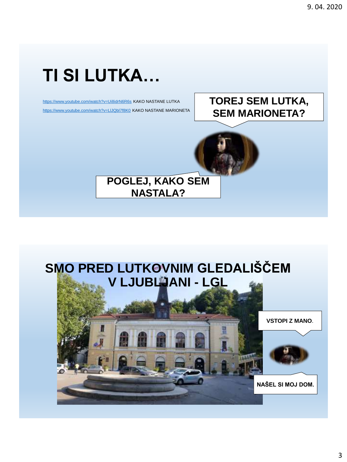# **TI SI LUTKA...**

https://www.youtube.com/watch?v=Ui8idrN6R6s KAKO NASTANE LUTKA https://www.youtube.com/watch?v=LIJQbl7f8K0 KAKO NASTANE MARIONETA

### **TOREJ SEM LUTKA, SEM MARIONETA?**





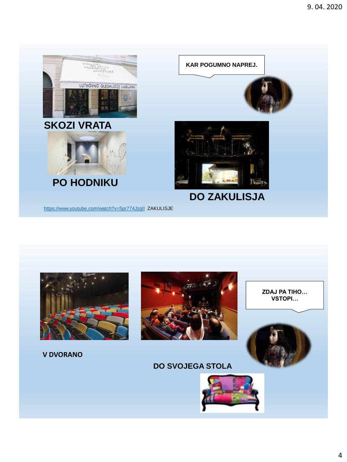



#### **V DVORANO**



ZDAJ PA TIHO... VSTOPI...



#### **DO SVOJEGA STOLA**

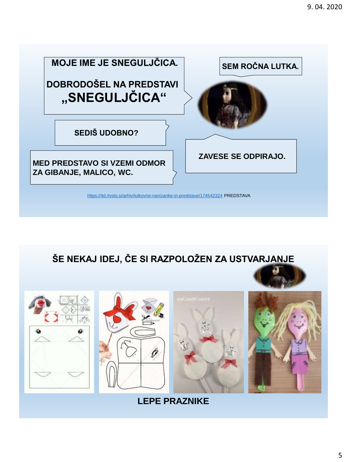

**ŠE NEKAJ IDEJ, ČE SI RAZPOLOŽEN ZA USTVARJANJE**